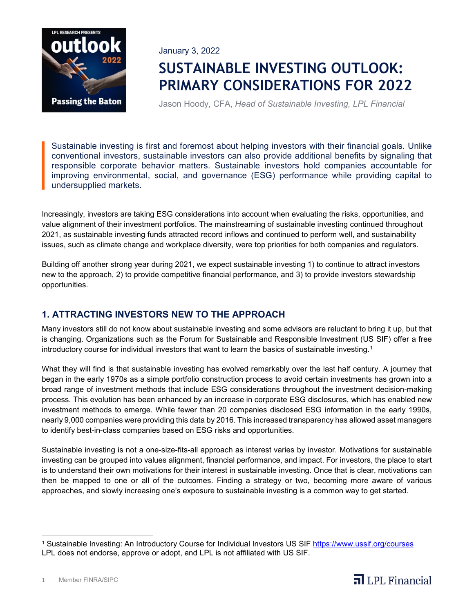

January 3, 2022

# **SUSTAINABLE INVESTING OUTLOOK: PRIMARY CONSIDERATIONS FOR 2022**

Jason Hoody, CFA, *Head of Sustainable Investing, LPL Financial*

Sustainable investing is first and foremost about helping investors with their financial goals. Unlike conventional investors, sustainable investors can also provide additional benefits by signaling that responsible corporate behavior matters. Sustainable investors hold companies accountable for improving environmental, social, and governance (ESG) performance while providing capital to undersupplied markets.

Increasingly, investors are taking ESG considerations into account when evaluating the risks, opportunities, and value alignment of their investment portfolios. The mainstreaming of sustainable investing continued throughout 2021, as sustainable investing funds attracted record inflows and continued to perform well, and sustainability issues, such as climate change and workplace diversity, were top priorities for both companies and regulators.

Building off another strong year during 2021, we expect sustainable investing 1) to continue to attract investors new to the approach, 2) to provide competitive financial performance, and 3) to provide investors stewardship opportunities.

# **1. ATTRACTING INVESTORS NEW TO THE APPROACH**

Many investors still do not know about sustainable investing and some advisors are reluctant to bring it up, but that is changing. Organizations such as the Forum for Sustainable and Responsible Investment (US SIF) offer a free introductory course for individual investors that want to learn the basics of sustainable investing.<sup>[1](#page-0-0)</sup>

What they will find is that sustainable investing has evolved remarkably over the last half century. A journey that began in the early 1970s as a simple portfolio construction process to avoid certain investments has grown into a broad range of investment methods that include ESG considerations throughout the investment decision-making process. This evolution has been enhanced by an increase in corporate ESG disclosures, which has enabled new investment methods to emerge. While fewer than 20 companies disclosed ESG information in the early 1990s, nearly 9,000 companies were providing this data by 2016. This increased transparency has allowed asset managers to identify best-in-class companies based on ESG risks and opportunities.

Sustainable investing is not a one-size-fits-all approach as interest varies by investor. Motivations for sustainable investing can be grouped into values alignment, financial performance, and impact. For investors, the place to start is to understand their own motivations for their interest in sustainable investing. Once that is clear, motivations can then be mapped to one or all of the outcomes. Finding a strategy or two, becoming more aware of various approaches, and slowly increasing one's exposure to sustainable investing is a common way to get started.



<span id="page-0-0"></span><sup>&</sup>lt;sup>1</sup> Sustainable Investing: An Introductory Course for Individual Investors US SIF<https://www.ussif.org/courses> LPL does not endorse, approve or adopt, and LPL is not affiliated with US SIF.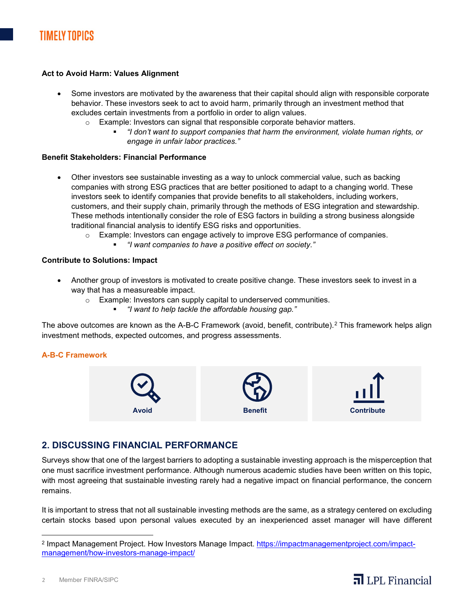#### **Act to Avoid Harm: Values Alignment**

- Some investors are motivated by the awareness that their capital should align with responsible corporate behavior. These investors seek to act to avoid harm, primarily through an investment method that excludes certain investments from a portfolio in order to align values.
	- $\circ$  Example: Investors can signal that responsible corporate behavior matters.
		- *"I don't want to support companies that harm the environment, violate human rights, or engage in unfair labor practices."*

#### **Benefit Stakeholders: Financial Performance**

- Other investors see sustainable investing as a way to unlock commercial value, such as backing companies with strong ESG practices that are better positioned to adapt to a changing world. These investors seek to identify companies that provide benefits to all stakeholders, including workers, customers, and their supply chain, primarily through the methods of ESG integration and stewardship. These methods intentionally consider the role of ESG factors in building a strong business alongside traditional financial analysis to identify ESG risks and opportunities.
	- o Example: Investors can engage actively to improve ESG performance of companies.
		- *"I want companies to have a positive effect on society."*

#### **Contribute to Solutions: Impact**

- Another group of investors is motivated to create positive change. These investors seek to invest in a way that has a measureable impact.
	- o Example: Investors can supply capital to underserved communities.
		- *"I want to help tackle the affordable housing gap."*

The above outcomes are known as the A-B-C Framework (avoid, benefit, contribute).[2](#page-1-0) This framework helps align investment methods, expected outcomes, and progress assessments.

#### **A-B-C Framework**



## **2. DISCUSSING FINANCIAL PERFORMANCE**

Surveys show that one of the largest barriers to adopting a sustainable investing approach is the misperception that one must sacrifice investment performance. Although numerous academic studies have been written on this topic, with most agreeing that sustainable investing rarely had a negative impact on financial performance, the concern remains.

It is important to stress that not all sustainable investing methods are the same, as a strategy centered on excluding certain stocks based upon personal values executed by an inexperienced asset manager will have different



<span id="page-1-0"></span><sup>&</sup>lt;sup>2</sup> Impact Management Project. How Investors Manage Impact. [https://impactmanagementproject.com/impact](https://impactmanagementproject.com/impact-management/how-investors-manage-impact/)[management/how-investors-manage-impact/](https://impactmanagementproject.com/impact-management/how-investors-manage-impact/)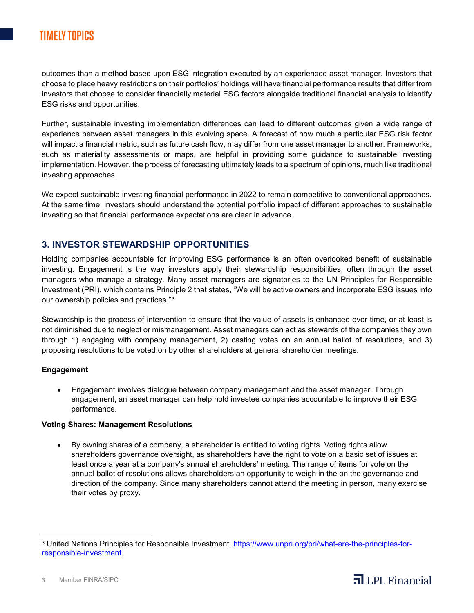# **TIMELY TOPICS**

outcomes than a method based upon ESG integration executed by an experienced asset manager. Investors that choose to place heavy restrictions on their portfolios' holdings will have financial performance results that differ from investors that choose to consider financially material ESG factors alongside traditional financial analysis to identify ESG risks and opportunities.

Further, sustainable investing implementation differences can lead to different outcomes given a wide range of experience between asset managers in this evolving space. A forecast of how much a particular ESG risk factor will impact a financial metric, such as future cash flow, may differ from one asset manager to another. Frameworks, such as materiality assessments or maps, are helpful in providing some guidance to sustainable investing implementation. However, the process of forecasting ultimately leads to a spectrum of opinions, much like traditional investing approaches.

We expect sustainable investing financial performance in 2022 to remain competitive to conventional approaches. At the same time, investors should understand the potential portfolio impact of different approaches to sustainable investing so that financial performance expectations are clear in advance.

### **3. INVESTOR STEWARDSHIP OPPORTUNITIES**

Holding companies accountable for improving ESG performance is an often overlooked benefit of sustainable investing. Engagement is the way investors apply their stewardship responsibilities, often through the asset managers who manage a strategy. Many asset managers are signatories to the UN Principles for Responsible Investment (PRI), which contains Principle 2 that states, "We will be active owners and incorporate ESG issues into our ownership policies and practices."[3](#page-2-0)

Stewardship is the process of intervention to ensure that the value of assets is enhanced over time, or at least is not diminished due to neglect or mismanagement. Asset managers can act as stewards of the companies they own through 1) engaging with company management, 2) casting votes on an annual ballot of resolutions, and 3) proposing resolutions to be voted on by other shareholders at general shareholder meetings.

#### **Engagement**

• Engagement involves dialogue between company management and the asset manager. Through engagement, an asset manager can help hold investee companies accountable to improve their ESG performance.

#### **Voting Shares: Management Resolutions**

• By owning shares of a company, a shareholder is entitled to voting rights. Voting rights allow shareholders governance oversight, as shareholders have the right to vote on a basic set of issues at least once a year at a company's annual shareholders' meeting. The range of items for vote on the annual ballot of resolutions allows shareholders an opportunity to weigh in the on the governance and direction of the company. Since many shareholders cannot attend the meeting in person, many exercise their votes by proxy.



<span id="page-2-0"></span><sup>&</sup>lt;sup>3</sup> United Nations Principles for Responsible Investment. [https://www.unpri.org/pri/what-are-the-principles-for](https://www.unpri.org/pri/what-are-the-principles-for-responsible-investment)[responsible-investment](https://www.unpri.org/pri/what-are-the-principles-for-responsible-investment)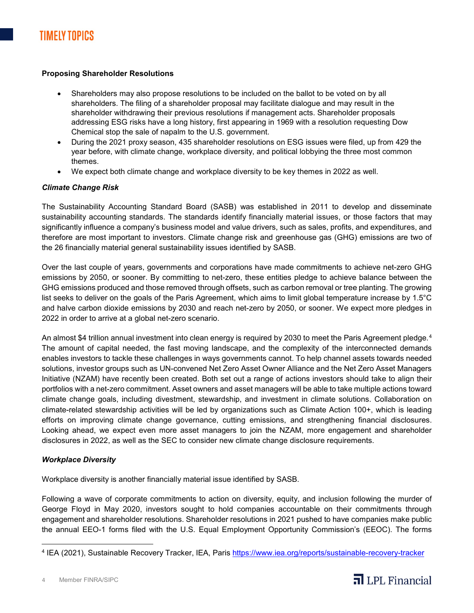#### **Proposing Shareholder Resolutions**

- Shareholders may also propose resolutions to be included on the ballot to be voted on by all shareholders. The filing of a shareholder proposal may facilitate dialogue and may result in the shareholder withdrawing their previous resolutions if management acts. Shareholder proposals addressing ESG risks have a long history, first appearing in 1969 with a resolution requesting Dow Chemical stop the sale of napalm to the U.S. government.
- During the 2021 proxy season, 435 shareholder resolutions on ESG issues were filed, up from 429 the year before, with climate change, workplace diversity, and political lobbying the three most common themes.
- We expect both climate change and workplace diversity to be key themes in 2022 as well.

#### *Climate Change Risk*

The Sustainability Accounting Standard Board (SASB) was established in 2011 to develop and disseminate sustainability accounting standards. The standards identify financially material issues, or those factors that may significantly influence a company's business model and value drivers, such as sales, profits, and expenditures, and therefore are most important to investors. Climate change risk and greenhouse gas (GHG) emissions are two of the 26 financially material general sustainability issues identified by SASB.

Over the last couple of years, governments and corporations have made commitments to achieve net-zero GHG emissions by 2050, or sooner. By committing to net-zero, these entities pledge to achieve balance between the GHG emissions produced and those removed through offsets, such as carbon removal or tree planting. The growing list seeks to deliver on the goals of the Paris Agreement, which aims to limit global temperature increase by 1.5°C and halve carbon dioxide emissions by 2030 and reach net-zero by 2050, or sooner. We expect more pledges in 2022 in order to arrive at a global net-zero scenario.

An almost \$[4](#page-3-0) trillion annual investment into clean energy is required by 2030 to meet the Paris Agreement pledge.<sup>4</sup> The amount of capital needed, the fast moving landscape, and the complexity of the interconnected demands enables investors to tackle these challenges in ways governments cannot. To help channel assets towards needed solutions, investor groups such as UN-convened Net Zero Asset Owner Alliance and the Net Zero Asset Managers Initiative (NZAM) have recently been created. Both set out a range of actions investors should take to align their portfolios with a net-zero commitment. Asset owners and asset managers will be able to take multiple actions toward climate change goals, including divestment, stewardship, and investment in climate solutions. Collaboration on climate-related stewardship activities will be led by organizations such as Climate Action 100+, which is leading efforts on improving climate change governance, cutting emissions, and strengthening financial disclosures. Looking ahead, we expect even more asset managers to join the NZAM, more engagement and shareholder disclosures in 2022, as well as the SEC to consider new climate change disclosure requirements.

#### *Workplace Diversity*

Workplace diversity is another financially material issue identified by SASB.

Following a wave of corporate commitments to action on diversity, equity, and inclusion following the murder of George Floyd in May 2020, investors sought to hold companies accountable on their commitments through engagement and shareholder resolutions. Shareholder resolutions in 2021 pushed to have companies make public the annual EEO-1 forms filed with the U.S. Equal Employment Opportunity Commission's (EEOC). The forms



<span id="page-3-0"></span><sup>4</sup> IEA (2021), Sustainable Recovery Tracker, IEA, Paris<https://www.iea.org/reports/sustainable-recovery-tracker>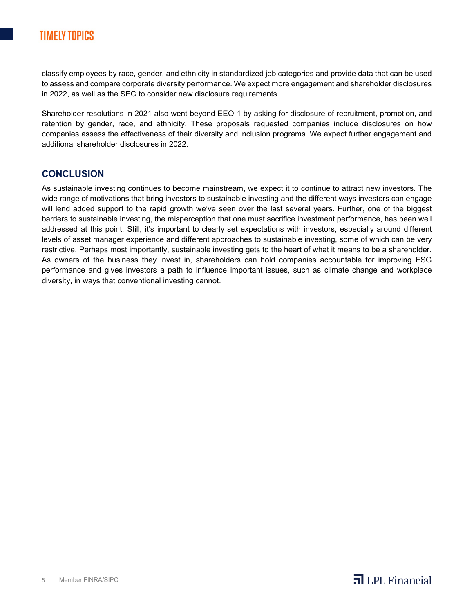# **TIMELY TOPICS**

classify employees by race, gender, and ethnicity in standardized job categories and provide data that can be used to assess and compare corporate diversity performance. We expect more engagement and shareholder disclosures in 2022, as well as the SEC to consider new disclosure requirements.

Shareholder resolutions in 2021 also went beyond EEO-1 by asking for disclosure of recruitment, promotion, and retention by gender, race, and ethnicity. These proposals requested companies include disclosures on how companies assess the effectiveness of their diversity and inclusion programs. We expect further engagement and additional shareholder disclosures in 2022.

### **CONCLUSION**

As sustainable investing continues to become mainstream, we expect it to continue to attract new investors. The wide range of motivations that bring investors to sustainable investing and the different ways investors can engage will lend added support to the rapid growth we've seen over the last several years. Further, one of the biggest barriers to sustainable investing, the misperception that one must sacrifice investment performance, has been well addressed at this point. Still, it's important to clearly set expectations with investors, especially around different levels of asset manager experience and different approaches to sustainable investing, some of which can be very restrictive. Perhaps most importantly, sustainable investing gets to the heart of what it means to be a shareholder. As owners of the business they invest in, shareholders can hold companies accountable for improving ESG performance and gives investors a path to influence important issues, such as climate change and workplace diversity, in ways that conventional investing cannot.